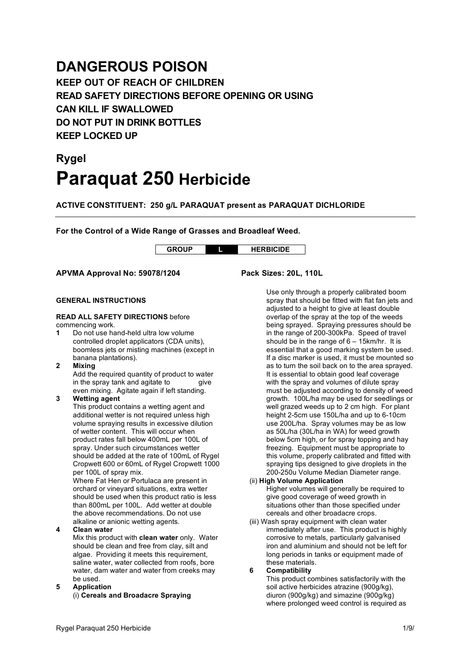## **DANGEROUS POISON**

**KEEP OUT OF REACH OF CHILDREN READ SAFETY DIRECTIONS BEFORE OPENING OR USING CAN KILL IF SWALLOWED DO NOT PUT IN DRINK BOTTLES KEEP LOCKED UP**

# **Rygel Paraquat 250 Herbicide**

**ACTIVE CONSTITUENT: 250 g/L PARAQUAT present as PARAQUAT DICHLORIDE**

**For the Control of a Wide Range of Grasses and Broadleaf Weed.**

**GROUP L HERBICIDE**

**APVMA Approval No: 59078/1204 Pack Sizes: 20L, 110L**

#### **GENERAL INSTRUCTIONS**

### **READ ALL SAFETY DIRECTIONS** before

commencing work.

- **1** Do not use hand-held ultra low volume controlled droplet applicators (CDA units), boomless jets or misting machines (except in banana plantations).
- **2 Mixing**

Add the required quantity of product to water<br>in the spray tank and agitate to give in the spray tank and agitate to even mixing. Agitate again if left standing.

#### **3 Wetting agent**

This product contains a wetting agent and additional wetter is not required unless high volume spraying results in excessive dilution of wetter content. This will occur when product rates fall below 400mL per 100L of spray. Under such circumstances wetter should be added at the rate of 100mL of Rygel Cropwett 600 or 60mL of Rygel Cropwett 1000 per 100L of spray mix.

Where Fat Hen or Portulaca are present in orchard or vineyard situations, extra wetter should be used when this product ratio is less than 800mL per 100L. Add wetter at double the above recommendations. Do not use alkaline or anionic wetting agents.

#### **4 Clean water**

Mix this product with **clean water** only. Water should be clean and free from clay, silt and algae. Providing it meets this requirement, saline water, water collected from roofs, bore water, dam water and water from creeks may be used.

**5 Application** (i) **Cereals and Broadacre Spraying**

Use only through a properly calibrated boom spray that should be fitted with flat fan jets and adjusted to a height to give at least double overlap of the spray at the top of the weeds being sprayed. Spraying pressures should be in the range of 200-300kPa. Speed of travel should be in the range of 6 – 15km/hr. It is essential that a good marking system be used. If a disc marker is used, it must be mounted so as to turn the soil back on to the area sprayed. It is essential to obtain good leaf coverage with the spray and volumes of dilute spray must be adjusted according to density of weed growth. 100L/ha may be used for seedlings or well grazed weeds up to 2 cm high. For plant height 2-5cm use 150L/ha and up to 6-10cm use 200L/ha. Spray volumes may be as low as 50L/ha (30L/ha in WA) for weed growth below 5cm high, or for spray topping and hay freezing. Equipment must be appropriate to this volume, properly calibrated and fitted with spraying tips designed to give droplets in the 200-250u Volume Median Diameter range.

#### (ii) **High Volume Application** Higher volumes will generally be required to give good coverage of weed growth in situations other than those specified under

cereals and other broadacre crops. (iii) Wash spray equipment with clean water immediately after use. This product is highly corrosive to metals, particularly galvanised iron and aluminium and should not be left for long periods in tanks or equipment made of these materials.

#### **6 Compatibility**

This product combines satisfactorily with the soil active herbicides atrazine (900g/kg), diuron (900g/kg) and simazine (900g/kg) where prolonged weed control is required as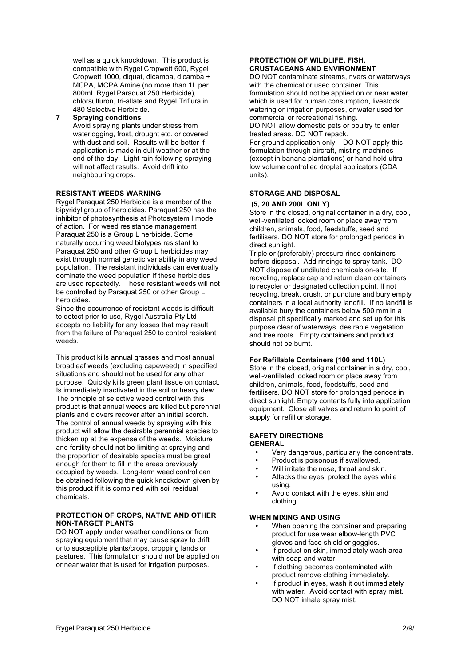well as a quick knockdown. This product is compatible with Rygel Cropwett 600, Rygel Cropwett 1000, diquat, dicamba, dicamba + MCPA, MCPA Amine (no more than 1L per 800mL Rygel Paraquat 250 Herbicide), chlorsulfuron, tri-allate and Rygel Trifluralin 480 Selective Herbicide.

**7 Spraying conditions** Avoid spraying plants under stress from waterlogging, frost, drought etc. or covered with dust and soil. Results will be better if application is made in dull weather or at the end of the day. Light rain following spraying will not affect results. Avoid drift into neighbouring crops.

#### **RESISTANT WEEDS WARNING**

Rygel Paraquat 250 Herbicide is a member of the bipyridyl group of herbicides. Paraquat 250 has the inhibitor of photosynthesis at Photosystem I mode of action. For weed resistance management Paraquat 250 is a Group L herbicide. Some naturally occurring weed biotypes resistant to Paraquat 250 and other Group L herbicides may exist through normal genetic variability in any weed population. The resistant individuals can eventually dominate the weed population if these herbicides are used repeatedly. These resistant weeds will not be controlled by Paraquat 250 or other Group L herbicides.

Since the occurrence of resistant weeds is difficult to detect prior to use, Rygel Australia Pty Ltd accepts no liability for any losses that may result from the failure of Paraquat 250 to control resistant weeds.

This product kills annual grasses and most annual broadleaf weeds (excluding capeweed) in specified situations and should not be used for any other purpose. Quickly kills green plant tissue on contact. Is immediately inactivated in the soil or heavy dew. The principle of selective weed control with this product is that annual weeds are killed but perennial plants and clovers recover after an initial scorch. The control of annual weeds by spraying with this product will allow the desirable perennial species to thicken up at the expense of the weeds. Moisture and fertility should not be limiting at spraying and the proportion of desirable species must be great enough for them to fill in the areas previously occupied by weeds. Long-term weed control can be obtained following the quick knockdown given by this product if it is combined with soil residual chemicals.

#### **PROTECTION OF CROPS, NATIVE AND OTHER NON-TARGET PLANTS**

DO NOT apply under weather conditions or from spraying equipment that may cause spray to drift onto susceptible plants/crops, cropping lands or pastures. This formulation should not be applied on or near water that is used for irrigation purposes.

#### **PROTECTION OF WILDLIFE, FISH, CRUSTACEANS AND ENVIRONMENT**

DO NOT contaminate streams, rivers or waterways with the chemical or used container. This formulation should not be applied on or near water, which is used for human consumption, livestock watering or irrigation purposes, or water used for commercial or recreational fishing.

DO NOT allow domestic pets or poultry to enter treated areas. DO NOT repack.

For ground application only – DO NOT apply this formulation through aircraft, misting machines (except in banana plantations) or hand-held ultra low volume controlled droplet applicators (CDA units).

#### **STORAGE AND DISPOSAL**

#### **(5, 20 AND 200L ONLY)**

Store in the closed, original container in a dry, cool, well-ventilated locked room or place away from children, animals, food, feedstuffs, seed and fertilisers. DO NOT store for prolonged periods in direct sunlight.

Triple or (preferably) pressure rinse containers before disposal. Add rinsings to spray tank. DO NOT dispose of undiluted chemicals on-site. If recycling, replace cap and return clean containers to recycler or designated collection point. If not recycling, break, crush, or puncture and bury empty containers in a local authority landfill. If no landfill is available bury the containers below 500 mm in a disposal pit specifically marked and set up for this purpose clear of waterways, desirable vegetation and tree roots. Empty containers and product should not be burnt.

#### **For Refillable Containers (100 and 110L)**

Store in the closed, original container in a dry, cool, well-ventilated locked room or place away from children, animals, food, feedstuffs, seed and fertilisers. DO NOT store for prolonged periods in direct sunlight. Empty contents fully into application equipment. Close all valves and return to point of supply for refill or storage.

#### **SAFETY DIRECTIONS GENERAL**

- Very dangerous, particularly the concentrate.
- Product is poisonous if swallowed.
- Will irritate the nose, throat and skin.
- Attacks the eyes, protect the eyes while using.
- Avoid contact with the eyes, skin and clothing.

#### **WHEN MIXING AND USING**

- When opening the container and preparing product for use wear elbow-length PVC gloves and face shield or goggles.
- If product on skin, immediately wash area with soap and water.
- If clothing becomes contaminated with product remove clothing immediately.
- If product in eyes, wash it out immediately with water. Avoid contact with spray mist. DO NOT inhale spray mist.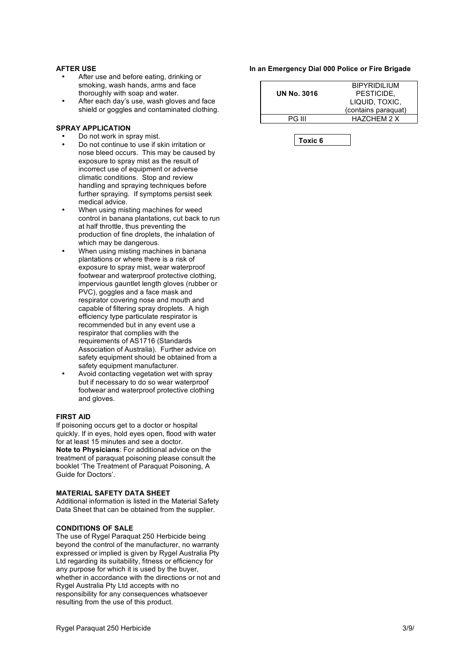#### **AFTER USE**

- After use and before eating, drinking or smoking, wash hands, arms and face thoroughly with soap and water.
- After each day's use, wash gloves and face shield or goggles and contaminated clothing.

#### **SPRAY APPLICATION**

- Do not work in spray mist.
- Do not continue to use if skin irritation or nose bleed occurs. This may be caused by exposure to spray mist as the result of incorrect use of equipment or adverse climatic conditions. Stop and review handling and spraying techniques before further spraying. If symptoms persist seek medical advice.
- When using misting machines for weed control in banana plantations, cut back to run at half throttle, thus preventing the production of fine droplets, the inhalation of which may be dangerous.
- When using misting machines in banana plantations or where there is a risk of exposure to spray mist, wear waterproof footwear and waterproof protective clothing, impervious gauntlet length gloves (rubber or PVC), goggles and a face mask and respirator covering nose and mouth and capable of filtering spray droplets. A high efficiency type particulate respirator is recommended but in any event use a respirator that complies with the requirements of AS1716 (Standards Association of Australia). Further advice on safety equipment should be obtained from a safety equipment manufacturer.
- Avoid contacting vegetation wet with spray but if necessary to do so wear waterproof footwear and waterproof protective clothing and gloves.

#### **FIRST AID**

If poisoning occurs get to a doctor or hospital quickly. If in eyes, hold eyes open, flood with water for at least 15 minutes and see a doctor. **Note to Physicians**: For additional advice on the treatment of paraquat poisoning please consult the booklet 'The Treatment of Paraquat Poisoning, A Guide for Doctors'.

#### **MATERIAL SAFETY DATA SHEET**

Additional information is listed in the Material Safety Data Sheet that can be obtained from the supplier.

#### **CONDITIONS OF SALE**

The use of Rygel Paraquat 250 Herbicide being beyond the control of the manufacturer, no warranty expressed or implied is given by Rygel Australia Pty Ltd regarding its suitability, fitness or efficiency for any purpose for which it is used by the buyer, whether in accordance with the directions or not and Rygel Australia Pty Ltd accepts with no responsibility for any consequences whatsoever resulting from the use of this product.

#### **In an Emergency Dial 000 Police or Fire Brigade**

|                    | <b>BIPYRIDILIUM</b> |
|--------------------|---------------------|
| <b>UN No. 3016</b> | PESTICIDE.          |
|                    | LIQUID, TOXIC,      |
|                    | (contains paraquat) |
| PG III             | HAZCHEM 2 X         |
|                    |                     |

**Toxic 6**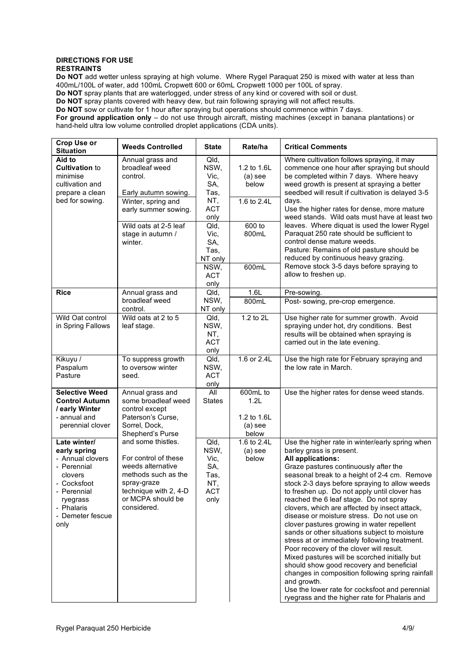#### **DIRECTIONS FOR USE RESTRAINTS**

**Do NOT** add wetter unless spraying at high volume. Where Rygel Paraquat 250 is mixed with water at less than 400mL/100L of water, add 100mL Cropwett 600 or 60mL Cropwett 1000 per 100L of spray. **Do NOT** spray plants that are waterlogged, under stress of any kind or covered with soil or dust.

**Do NOT** spray plants covered with heavy dew, but rain following spraying will not affect results.

**Do NOT** sow or cultivate for 1 hour after spraying but operations should commence within 7 days.

**For ground application only** – do not use through aircraft, misting machines (except in banana plantations) or hand-held ultra low volume controlled droplet applications (CDA units).

| Crop Use or<br><b>Situation</b>                                                                                                                                | <b>Weeds Controlled</b>                                                                                                                                                       | <b>State</b>                                                                                                                     | Rate/ha                                                                      | <b>Critical Comments</b>                                                                                                                                                                                                                                                                                                                                                                                                                                                                                                                                                                                                                                                                                                                                                                                                                                                                                 |
|----------------------------------------------------------------------------------------------------------------------------------------------------------------|-------------------------------------------------------------------------------------------------------------------------------------------------------------------------------|----------------------------------------------------------------------------------------------------------------------------------|------------------------------------------------------------------------------|----------------------------------------------------------------------------------------------------------------------------------------------------------------------------------------------------------------------------------------------------------------------------------------------------------------------------------------------------------------------------------------------------------------------------------------------------------------------------------------------------------------------------------------------------------------------------------------------------------------------------------------------------------------------------------------------------------------------------------------------------------------------------------------------------------------------------------------------------------------------------------------------------------|
| Aid to<br><b>Cultivation to</b><br>minimise<br>cultivation and<br>prepare a clean<br>bed for sowing.                                                           | Annual grass and<br>broadleaf weed<br>control.<br>Early autumn sowing.<br>Winter, spring and<br>early summer sowing.<br>Wild oats at 2-5 leaf<br>stage in autumn /<br>winter. | Qld,<br>NSW,<br>Vic,<br>SA,<br>Tas,<br>NT,<br><b>ACT</b><br>only<br>Qld,<br>Vic,<br>SA,<br>Tas,<br>NT only<br>NSW,<br><b>ACT</b> | 1.2 to 1.6L<br>$(a)$ see<br>below<br>1.6 to 2.4L<br>600 to<br>800mL<br>600mL | Where cultivation follows spraying, it may<br>commence one hour after spraying but should<br>be completed within 7 days. Where heavy<br>weed growth is present at spraying a better<br>seedbed will result if cultivation is delayed 3-5<br>days.<br>Use the higher rates for dense, more mature<br>weed stands. Wild oats must have at least two<br>leaves. Where diquat is used the lower Rygel<br>Paraquat 250 rate should be sufficient to<br>control dense mature weeds.<br>Pasture: Remains of old pasture should be<br>reduced by continuous heavy grazing.<br>Remove stock 3-5 days before spraying to<br>allow to freshen up.                                                                                                                                                                                                                                                                   |
| <b>Rice</b>                                                                                                                                                    | Annual grass and                                                                                                                                                              | only<br>Qld,                                                                                                                     | 1.6L                                                                         | Pre-sowing.                                                                                                                                                                                                                                                                                                                                                                                                                                                                                                                                                                                                                                                                                                                                                                                                                                                                                              |
|                                                                                                                                                                | broadleaf weed<br>control.                                                                                                                                                    | NSW,<br>NT only                                                                                                                  | 800mL                                                                        | Post- sowing, pre-crop emergence.                                                                                                                                                                                                                                                                                                                                                                                                                                                                                                                                                                                                                                                                                                                                                                                                                                                                        |
| Wild Oat control<br>in Spring Fallows                                                                                                                          | Wild oats at 2 to 5<br>leaf stage.                                                                                                                                            | Qld,<br>NSW,<br>NT,<br><b>ACT</b><br>only                                                                                        | 1.2 to 2L                                                                    | Use higher rate for summer growth. Avoid<br>spraying under hot, dry conditions. Best<br>results will be obtained when spraying is<br>carried out in the late evening.                                                                                                                                                                                                                                                                                                                                                                                                                                                                                                                                                                                                                                                                                                                                    |
| Kikuyu /<br>Paspalum<br>Pasture                                                                                                                                | To suppress growth<br>to oversow winter<br>seed.                                                                                                                              | Qld,<br>NSW,<br><b>ACT</b><br>only                                                                                               | 1.6 or 2.4L                                                                  | Use the high rate for February spraying and<br>the low rate in March.                                                                                                                                                                                                                                                                                                                                                                                                                                                                                                                                                                                                                                                                                                                                                                                                                                    |
| <b>Selective Weed</b><br><b>Control Autumn</b><br>/ early Winter<br>- annual and<br>perennial clover                                                           | Annual grass and<br>some broadleaf weed<br>control except<br>Paterson's Curse,<br>Sorrel, Dock,<br>Shepherd's Purse                                                           | $\overline{All}$<br><b>States</b>                                                                                                | 600mL to<br>1.2L<br>1.2 to 1.6L<br>$(a)$ see<br>below                        | Use the higher rates for dense weed stands.                                                                                                                                                                                                                                                                                                                                                                                                                                                                                                                                                                                                                                                                                                                                                                                                                                                              |
| Late winter/<br>early spring<br>- Annual clovers<br>- Perennial<br>clovers<br>- Cocksfoot<br>- Perennial<br>ryegrass<br>- Phalaris<br>- Demeter fescue<br>only | and some thistles.<br>For control of these<br>weeds alternative<br>methods such as the<br>spray-graze<br>technique with 2, 4-D<br>or MCPA should be<br>considered.            | Qld,<br>NSW,<br>Vic,<br>SA,<br>Tas,<br>NT,<br><b>ACT</b><br>only                                                                 | 1.6 to 2.4L<br>$(a)$ see<br>below                                            | Use the higher rate in winter/early spring when<br>barley grass is present.<br><b>All applications:</b><br>Graze pastures continuously after the<br>seasonal break to a height of 2-4 cm. Remove<br>stock 2-3 days before spraying to allow weeds<br>to freshen up. Do not apply until clover has<br>reached the 6 leaf stage. Do not spray<br>clovers, which are affected by insect attack,<br>disease or moisture stress. Do not use on<br>clover pastures growing in water repellent<br>sands or other situations subject to moisture<br>stress at or immediately following treatment.<br>Poor recovery of the clover will result.<br>Mixed pastures will be scorched initially but<br>should show good recovery and beneficial<br>changes in composition following spring rainfall<br>and growth.<br>Use the lower rate for cocksfoot and perennial<br>ryegrass and the higher rate for Phalaris and |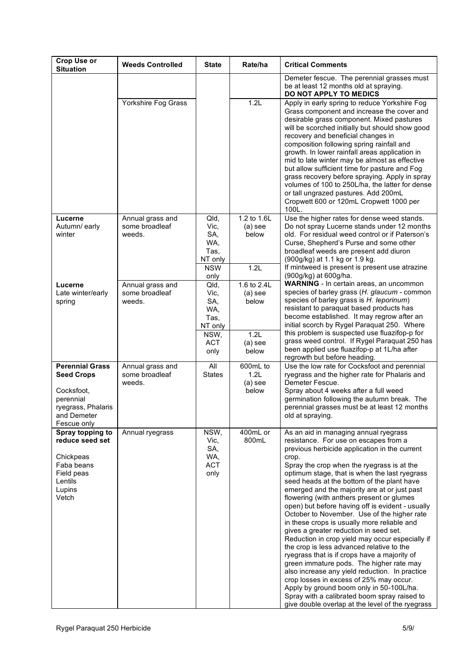| <b>Crop Use or</b><br><b>Situation</b>                                                                                     | <b>Weeds Controlled</b>                      | <b>State</b>                                                                | Rate/ha                                                         | <b>Critical Comments</b>                                                                                                                                                                                                                                                                                                                                                                                                                                                                                                                                                                                                                                                                                                                                                                                                                                                                                                                                                                                                |
|----------------------------------------------------------------------------------------------------------------------------|----------------------------------------------|-----------------------------------------------------------------------------|-----------------------------------------------------------------|-------------------------------------------------------------------------------------------------------------------------------------------------------------------------------------------------------------------------------------------------------------------------------------------------------------------------------------------------------------------------------------------------------------------------------------------------------------------------------------------------------------------------------------------------------------------------------------------------------------------------------------------------------------------------------------------------------------------------------------------------------------------------------------------------------------------------------------------------------------------------------------------------------------------------------------------------------------------------------------------------------------------------|
|                                                                                                                            |                                              |                                                                             |                                                                 | Demeter fescue. The perennial grasses must<br>be at least 12 months old at spraying.<br>DO NOT APPLY TO MEDICS                                                                                                                                                                                                                                                                                                                                                                                                                                                                                                                                                                                                                                                                                                                                                                                                                                                                                                          |
|                                                                                                                            | Yorkshire Fog Grass                          |                                                                             | 1.2L                                                            | Apply in early spring to reduce Yorkshire Fog<br>Grass component and increase the cover and<br>desirable grass component. Mixed pastures<br>will be scorched initially but should show good<br>recovery and beneficial changes in<br>composition following spring rainfall and<br>growth. In lower rainfall areas application in<br>mid to late winter may be almost as effective<br>but allow sufficient time for pasture and Fog<br>grass recovery before spraying. Apply in spray<br>volumes of 100 to 250L/ha, the latter for dense<br>or tall ungrazed pastures. Add 200mL<br>Cropwett 600 or 120mL Cropwett 1000 per<br>100L.                                                                                                                                                                                                                                                                                                                                                                                     |
| Lucerne<br>Autumn/ early<br>winter                                                                                         | Annual grass and<br>some broadleaf<br>weeds. | Qld,<br>Vic,<br>SA,<br>WA,<br>Tas,<br>NT only                               | 1.2 to 1.6L<br>$(a)$ see<br>below                               | Use the higher rates for dense weed stands.<br>Do not spray Lucerne stands under 12 months<br>old. For residual weed control or if Paterson's<br>Curse, Shepherd's Purse and some other<br>broadleaf weeds are present add diuron<br>(900g/kg) at 1.1 kg or 1.9 kg.                                                                                                                                                                                                                                                                                                                                                                                                                                                                                                                                                                                                                                                                                                                                                     |
|                                                                                                                            |                                              | <b>NSW</b><br>only                                                          | 1.2L                                                            | If mintweed is present is present use atrazine<br>(900g/kg) at 600g/ha.                                                                                                                                                                                                                                                                                                                                                                                                                                                                                                                                                                                                                                                                                                                                                                                                                                                                                                                                                 |
| Lucerne<br>Late winter/early<br>spring                                                                                     | Annual grass and<br>some broadleaf<br>weeds. | Qld,<br>Vic,<br>SA,<br>WA,<br>Tas,<br>NT only<br>NSW,<br><b>ACT</b><br>only | 1.6 to 2.4L<br>$(a)$ see<br>below<br>1.2L<br>$(a)$ see<br>below | WARNING - In certain areas, an uncommon<br>species of barley grass (H. glaucum - common<br>species of barley grass is H. leporinum)<br>resistant to paraquat based products has<br>become established. It may regrow after an<br>initial scorch by Rygel Paraquat 250. Where<br>this problem is suspected use fluazifop-p for<br>grass weed control. If Rygel Paraquat 250 has<br>been applied use fluazifop-p at 1L/ha after<br>regrowth but before heading.                                                                                                                                                                                                                                                                                                                                                                                                                                                                                                                                                           |
| <b>Perennial Grass</b><br><b>Seed Crops</b><br>Cocksfoot,<br>perennial<br>ryegrass, Phalaris<br>and Demeter<br>Fescue only | Annual grass and<br>some broadleaf<br>weeds. | All<br><b>States</b>                                                        | 600mL to<br>1.2L<br>$(a)$ see<br>below                          | Use the low rate for Cocksfoot and perennial<br>ryegrass and the higher rate for Phalaris and<br>Demeter Fescue.<br>Spray about 4 weeks after a full weed<br>germination following the autumn break. The<br>perennial grasses must be at least 12 months<br>old at spraying.                                                                                                                                                                                                                                                                                                                                                                                                                                                                                                                                                                                                                                                                                                                                            |
| Spray topping to<br>reduce seed set<br>Chickpeas<br>Faba beans<br>Field peas<br>Lentils<br>Lupins<br>Vetch                 | Annual ryegrass                              | NSW,<br>Vic,<br>SA,<br>WA,<br><b>ACT</b><br>only                            | 400mL or<br>800mL                                               | As an aid in managing annual ryegrass<br>resistance. For use on escapes from a<br>previous herbicide application in the current<br>crop.<br>Spray the crop when the ryegrass is at the<br>optimum stage, that is when the last ryegrass<br>seed heads at the bottom of the plant have<br>emerged and the majority are at or just past<br>flowering (with anthers present or glumes<br>open) but before having off is evident - usually<br>October to November. Use of the higher rate<br>in these crops is usually more reliable and<br>gives a greater reduction in seed set.<br>Reduction in crop yield may occur especially if<br>the crop is less advanced relative to the<br>ryegrass that is if crops have a majority of<br>green immature pods. The higher rate may<br>also increase any yield reduction. In practice<br>crop losses in excess of 25% may occur.<br>Apply by ground boom only in 50-100L/ha.<br>Spray with a calibrated boom spray raised to<br>give double overlap at the level of the ryegrass |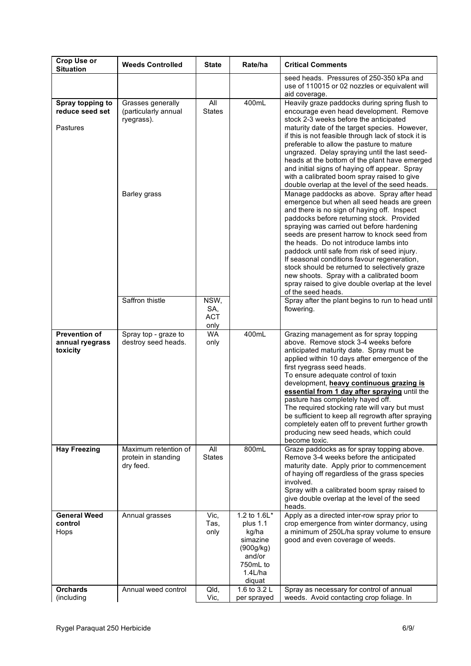| Crop Use or<br><b>Situation</b>                     | <b>Weeds Controlled</b>                                                 | <b>State</b>                      | Rate/ha                                                                                                  | <b>Critical Comments</b>                                                                                                                                                                                                                                                                                                                                                                                                                                                                                                                                                                                                                                                                                                                                                                                                                                                                                                                                                                                                                                                                                                                         |
|-----------------------------------------------------|-------------------------------------------------------------------------|-----------------------------------|----------------------------------------------------------------------------------------------------------|--------------------------------------------------------------------------------------------------------------------------------------------------------------------------------------------------------------------------------------------------------------------------------------------------------------------------------------------------------------------------------------------------------------------------------------------------------------------------------------------------------------------------------------------------------------------------------------------------------------------------------------------------------------------------------------------------------------------------------------------------------------------------------------------------------------------------------------------------------------------------------------------------------------------------------------------------------------------------------------------------------------------------------------------------------------------------------------------------------------------------------------------------|
|                                                     |                                                                         |                                   |                                                                                                          | seed heads. Pressures of 250-350 kPa and<br>use of 110015 or 02 nozzles or equivalent will<br>aid coverage.                                                                                                                                                                                                                                                                                                                                                                                                                                                                                                                                                                                                                                                                                                                                                                                                                                                                                                                                                                                                                                      |
| Spray topping to<br>reduce seed set<br>Pastures     | Grasses generally<br>(particularly annual<br>ryegrass).<br>Barley grass | All<br><b>States</b>              | 400mL                                                                                                    | Heavily graze paddocks during spring flush to<br>encourage even head development. Remove<br>stock 2-3 weeks before the anticipated<br>maturity date of the target species. However,<br>if this is not feasible through lack of stock it is<br>preferable to allow the pasture to mature<br>ungrazed. Delay spraying until the last seed-<br>heads at the bottom of the plant have emerged<br>and initial signs of haying off appear. Spray<br>with a calibrated boom spray raised to give<br>double overlap at the level of the seed heads.<br>Manage paddocks as above. Spray after head<br>emergence but when all seed heads are green<br>and there is no sign of haying off. Inspect<br>paddocks before returning stock. Provided<br>spraying was carried out before hardening<br>seeds are present harrow to knock seed from<br>the heads. Do not introduce lambs into<br>paddock until safe from risk of seed injury.<br>If seasonal conditions favour regeneration,<br>stock should be returned to selectively graze<br>new shoots. Spray with a calibrated boom<br>spray raised to give double overlap at the level<br>of the seed heads. |
|                                                     | Saffron thistle                                                         | NSW,<br>SA,<br><b>ACT</b><br>only |                                                                                                          | Spray after the plant begins to run to head until<br>flowering.                                                                                                                                                                                                                                                                                                                                                                                                                                                                                                                                                                                                                                                                                                                                                                                                                                                                                                                                                                                                                                                                                  |
| <b>Prevention of</b><br>annual ryegrass<br>toxicity | Spray top - graze to<br>destroy seed heads.                             | <b>WA</b><br>only                 | 400mL                                                                                                    | Grazing management as for spray topping<br>above. Remove stock 3-4 weeks before<br>anticipated maturity date. Spray must be<br>applied within 10 days after emergence of the<br>first ryegrass seed heads.<br>To ensure adequate control of toxin<br>development, heavy continuous grazing is<br>essential from 1 day after spraying until the<br>pasture has completely hayed off.<br>The required stocking rate will vary but must<br>be sufficient to keep all regrowth after spraying<br>completely eaten off to prevent further growth<br>producing new seed heads, which could<br>become toxic.                                                                                                                                                                                                                                                                                                                                                                                                                                                                                                                                            |
| <b>Hay Freezing</b>                                 | Maximum retention of<br>protein in standing<br>dry feed.                | All<br><b>States</b>              | 800mL                                                                                                    | Graze paddocks as for spray topping above.<br>Remove 3-4 weeks before the anticipated<br>maturity date. Apply prior to commencement<br>of haying off regardless of the grass species<br>involved.<br>Spray with a calibrated boom spray raised to<br>give double overlap at the level of the seed<br>heads.                                                                                                                                                                                                                                                                                                                                                                                                                                                                                                                                                                                                                                                                                                                                                                                                                                      |
| <b>General Weed</b><br>control<br>Hops              | Annual grasses                                                          | Vic,<br>Tas,<br>only              | 1.2 to 1.6L*<br>plus 1.1<br>kg/ha<br>simazine<br>(900q/kg)<br>and/or<br>750mL to<br>$1.4$ L/ha<br>diquat | Apply as a directed inter-row spray prior to<br>crop emergence from winter dormancy, using<br>a minimum of 250L/ha spray volume to ensure<br>good and even coverage of weeds.                                                                                                                                                                                                                                                                                                                                                                                                                                                                                                                                                                                                                                                                                                                                                                                                                                                                                                                                                                    |
| <b>Orchards</b><br>(including                       | Annual weed control                                                     | Qld,<br>Vic,                      | 1.6 to 3.2 L<br>per sprayed                                                                              | Spray as necessary for control of annual<br>weeds. Avoid contacting crop foliage. In                                                                                                                                                                                                                                                                                                                                                                                                                                                                                                                                                                                                                                                                                                                                                                                                                                                                                                                                                                                                                                                             |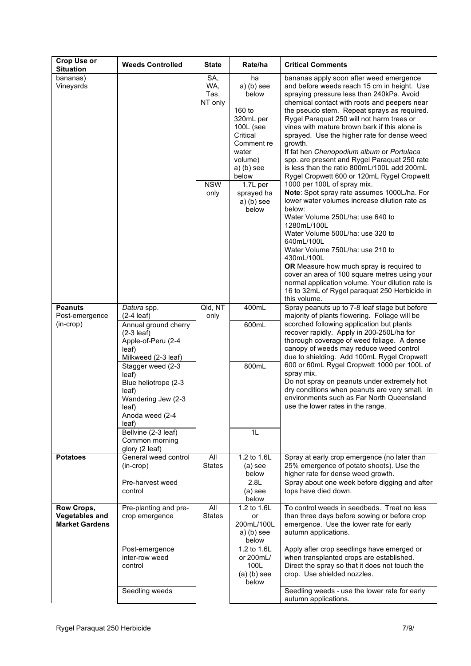| <b>Crop Use or</b><br><b>Situation</b>                       | <b>Weeds Controlled</b>                                                                                                                                                                                                                                                                                        | <b>State</b>                                        | Rate/ha                                                                                                                                                                                   | <b>Critical Comments</b>                                                                                                                                                                                                                                                                                                                                                                                                                                                                                                                                                                                                                                                                                                                                                                                                                                                                                                                                                                                                                                                                               |
|--------------------------------------------------------------|----------------------------------------------------------------------------------------------------------------------------------------------------------------------------------------------------------------------------------------------------------------------------------------------------------------|-----------------------------------------------------|-------------------------------------------------------------------------------------------------------------------------------------------------------------------------------------------|--------------------------------------------------------------------------------------------------------------------------------------------------------------------------------------------------------------------------------------------------------------------------------------------------------------------------------------------------------------------------------------------------------------------------------------------------------------------------------------------------------------------------------------------------------------------------------------------------------------------------------------------------------------------------------------------------------------------------------------------------------------------------------------------------------------------------------------------------------------------------------------------------------------------------------------------------------------------------------------------------------------------------------------------------------------------------------------------------------|
| bananas)<br>Vineyards                                        |                                                                                                                                                                                                                                                                                                                | SA,<br>WA,<br>Tas,<br>NT only<br><b>NSW</b><br>only | ha<br>$a)$ (b) see<br>below<br>160 to<br>320mL per<br>100L (see<br>Critical<br>Comment re<br>water<br>volume)<br>$a)$ (b) see<br>below<br>1.7L per<br>sprayed ha<br>$a)$ (b) see<br>below | bananas apply soon after weed emergence<br>and before weeds reach 15 cm in height. Use<br>spraying pressure less than 240kPa. Avoid<br>chemical contact with roots and peepers near<br>the pseudo stem. Repeat sprays as required.<br>Rygel Paraquat 250 will not harm trees or<br>vines with mature brown bark if this alone is<br>sprayed. Use the higher rate for dense weed<br>growth.<br>If fat hen Chenopodium album or Portulaca<br>spp. are present and Rygel Paraquat 250 rate<br>is less than the ratio 800mL/100L add 200mL<br>Rygel Cropwett 600 or 120mL Rygel Cropwett<br>1000 per 100L of spray mix.<br>Note: Spot spray rate assumes 1000L/ha. For<br>lower water volumes increase dilution rate as<br>below:<br>Water Volume 250L/ha: use 640 to<br>1280mL/100L<br>Water Volume 500L/ha: use 320 to<br>640mL/100L<br>Water Volume 750L/ha: use 210 to<br>430mL/100L<br>OR Measure how much spray is required to<br>cover an area of 100 square metres using your<br>normal application volume. Your dilution rate is<br>16 to 32mL of Rygel paraquat 250 Herbicide in<br>this volume. |
| <b>Peanuts</b><br>Post-emergence<br>(in-crop)                | Datura spp.<br>$(2-4$ leaf)<br>Annual ground cherry<br>$(2-3$ leaf)<br>Apple-of-Peru (2-4<br>leaf)<br>Milkweed (2-3 leaf)<br>Stagger weed (2-3<br>leaf)<br>Blue heliotrope (2-3<br>leaf)<br>Wandering Jew (2-3<br>leaf)<br>Anoda weed (2-4<br>leaf)<br>Bellvine (2-3 leaf)<br>Common morning<br>glory (2 leaf) | Qld, NT<br>only                                     | 400mL<br>600mL<br>800mL<br>1L                                                                                                                                                             | Spray peanuts up to 7-8 leaf stage but before<br>majority of plants flowering. Foliage will be<br>scorched following application but plants<br>recover rapidly. Apply in 200-250L/ha for<br>thorough coverage of weed foliage. A dense<br>canopy of weeds may reduce weed control<br>due to shielding. Add 100mL Rygel Cropwett<br>600 or 60mL Rygel Cropwett 1000 per 100L of<br>spray mix.<br>Do not spray on peanuts under extremely hot<br>dry conditions when peanuts are very small. In<br>environments such as Far North Queensland<br>use the lower rates in the range.                                                                                                                                                                                                                                                                                                                                                                                                                                                                                                                        |
| <b>Potatoes</b>                                              | General weed control<br>$(in-crop)$<br>Pre-harvest weed<br>control                                                                                                                                                                                                                                             | All<br><b>States</b>                                | 1.2 to 1.6L<br>$(a)$ see<br>below<br>2.8L<br>$(a)$ see<br>below                                                                                                                           | Spray at early crop emergence (no later than<br>25% emergence of potato shoots). Use the<br>higher rate for dense weed growth.<br>Spray about one week before digging and after<br>tops have died down.                                                                                                                                                                                                                                                                                                                                                                                                                                                                                                                                                                                                                                                                                                                                                                                                                                                                                                |
| Row Crops,<br><b>Vegetables and</b><br><b>Market Gardens</b> | Pre-planting and pre-<br>crop emergence<br>Post-emergence                                                                                                                                                                                                                                                      | All<br><b>States</b>                                | 1.2 to 1.6L<br>or<br>200mL/100L<br>$a)$ (b) see<br>below<br>1.2 to 1.6L                                                                                                                   | To control weeds in seedbeds. Treat no less<br>than three days before sowing or before crop<br>emergence. Use the lower rate for early<br>autumn applications.<br>Apply after crop seedlings have emerged or                                                                                                                                                                                                                                                                                                                                                                                                                                                                                                                                                                                                                                                                                                                                                                                                                                                                                           |
|                                                              | inter-row weed<br>control<br>Seedling weeds                                                                                                                                                                                                                                                                    |                                                     | or 200mL/<br>100L<br>$(a)$ (b) see<br>below                                                                                                                                               | when transplanted crops are established.<br>Direct the spray so that it does not touch the<br>crop. Use shielded nozzles.<br>Seedling weeds - use the lower rate for early                                                                                                                                                                                                                                                                                                                                                                                                                                                                                                                                                                                                                                                                                                                                                                                                                                                                                                                             |
|                                                              |                                                                                                                                                                                                                                                                                                                |                                                     |                                                                                                                                                                                           | autumn applications.                                                                                                                                                                                                                                                                                                                                                                                                                                                                                                                                                                                                                                                                                                                                                                                                                                                                                                                                                                                                                                                                                   |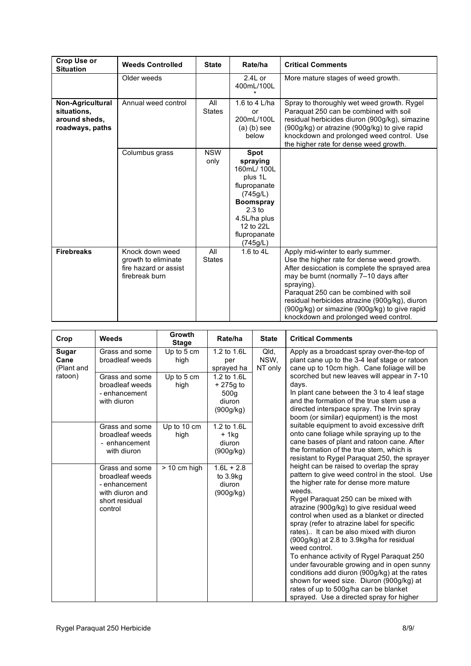| <b>Crop Use or</b><br><b>Situation</b>                              | <b>Weeds Controlled</b>                                                           | <b>State</b>         | Rate/ha                                                                                                                                                        | <b>Critical Comments</b>                                                                                                                                                                                                                                                                                                                                                        |
|---------------------------------------------------------------------|-----------------------------------------------------------------------------------|----------------------|----------------------------------------------------------------------------------------------------------------------------------------------------------------|---------------------------------------------------------------------------------------------------------------------------------------------------------------------------------------------------------------------------------------------------------------------------------------------------------------------------------------------------------------------------------|
|                                                                     | Older weeds                                                                       |                      | $2.4L$ or<br>400mL/100L                                                                                                                                        | More mature stages of weed growth.                                                                                                                                                                                                                                                                                                                                              |
| Non-Agricultural<br>situations,<br>around sheds.<br>roadways, paths | Annual weed control                                                               | All<br><b>States</b> | 1.6 to 4 L/ha<br>or<br>200mL/100L<br>$(a)$ (b) see<br>helow                                                                                                    | Spray to thoroughly wet weed growth. Rygel<br>Paraquat 250 can be combined with soil<br>residual herbicides diuron (900q/kq), simazine<br>(900g/kg) or atrazine (900g/kg) to give rapid<br>knockdown and prolonged weed control. Use<br>the higher rate for dense weed growth.                                                                                                  |
|                                                                     | Columbus grass                                                                    | <b>NSW</b><br>only   | Spot<br>spraying<br>160mL/100L<br>plus 1L<br>flupropanate<br>(745g/L)<br><b>Boomspray</b><br>$2.3$ to<br>4.5L/ha plus<br>12 to 22L<br>flupropanate<br>(745g/L) |                                                                                                                                                                                                                                                                                                                                                                                 |
| <b>Firebreaks</b>                                                   | Knock down weed<br>growth to eliminate<br>fire hazard or assist<br>firebreak burn | All<br><b>States</b> | 1.6 to $4L$                                                                                                                                                    | Apply mid-winter to early summer.<br>Use the higher rate for dense weed growth.<br>After desiccation is complete the sprayed area<br>may be burnt (normally 7-10 days after<br>spraying).<br>Paraquat 250 can be combined with soil<br>residual herbicides atrazine (900g/kg), diuron<br>(900g/kg) or simazine (900g/kg) to give rapid<br>knockdown and prolonged weed control. |

| Crop                        | Weeds                                                                                              | Growth<br><b>Stage</b> | Rate/ha                                                              | <b>State</b>            | <b>Critical Comments</b>                                                                                                                                                                                                                                                                                                                                                                                                                                                                                                                                                                                                                                                                                             |
|-----------------------------|----------------------------------------------------------------------------------------------------|------------------------|----------------------------------------------------------------------|-------------------------|----------------------------------------------------------------------------------------------------------------------------------------------------------------------------------------------------------------------------------------------------------------------------------------------------------------------------------------------------------------------------------------------------------------------------------------------------------------------------------------------------------------------------------------------------------------------------------------------------------------------------------------------------------------------------------------------------------------------|
| Sugar<br>Cane<br>(Plant and | Grass and some<br>broadleaf weeds                                                                  | Up to 5 cm<br>high     | 1.2 to 1.6L<br>per<br>sprayed ha                                     | Qld,<br>NSW,<br>NT only | Apply as a broadcast spray over-the-top of<br>plant cane up to the 3-4 leaf stage or ratoon<br>cane up to 10cm high. Cane foliage will be                                                                                                                                                                                                                                                                                                                                                                                                                                                                                                                                                                            |
| ratoon)                     | Grass and some<br>broadleaf weeds<br>- enhancement<br>with diuron                                  | Up to 5 cm<br>high     | 1.2 to 1.6L<br>$+275g$ to<br>500 <sub>g</sub><br>diuron<br>(900g/kg) |                         | scorched but new leaves will appear in 7-10<br>days.<br>In plant cane between the 3 to 4 leaf stage<br>and the formation of the true stem use a<br>directed interspace spray. The Irvin spray<br>boom (or similar) equipment) is the most                                                                                                                                                                                                                                                                                                                                                                                                                                                                            |
|                             | Grass and some<br>broadleaf weeds<br>- enhancement<br>with diuron                                  | Up to 10 cm<br>high    | 1.2 to 1.6L<br>+ 1kg<br>diuron<br>(900g/kg)                          |                         | suitable equipment to avoid excessive drift<br>onto cane foliage while spraying up to the<br>cane bases of plant and ratoon cane. After<br>the formation of the true stem, which is<br>resistant to Rygel Paraquat 250, the sprayer                                                                                                                                                                                                                                                                                                                                                                                                                                                                                  |
|                             | Grass and some<br>broadleaf weeds<br>- enhancement<br>with diuron and<br>short residual<br>control | $> 10$ cm high         | $1.6L + 2.8$<br>to 3.9kg<br>diuron<br>(900g/kg)                      |                         | height can be raised to overlap the spray<br>pattern to give weed control in the stool. Use<br>the higher rate for dense more mature<br>weeds.<br>Rygel Paraquat 250 can be mixed with<br>atrazine (900g/kg) to give residual weed<br>control when used as a blanket or directed<br>spray (refer to atrazine label for specific<br>rates) It can be also mixed with diuron<br>(900g/kg) at 2.8 to 3.9kg/ha for residual<br>weed control.<br>To enhance activity of Rygel Paraquat 250<br>under favourable growing and in open sunny<br>conditions add diuron (900g/kg) at the rates<br>shown for weed size. Diuron (900g/kg) at<br>rates of up to 500g/ha can be blanket<br>sprayed. Use a directed spray for higher |